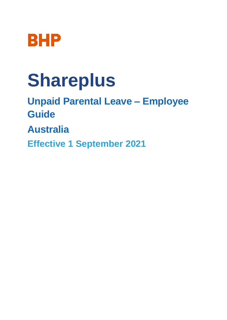

# **Shareplus**

**Unpaid Parental Leave – Employee Guide**

**Australia**

**Effective 1 September 2021**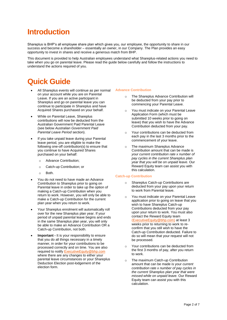## **Introduction**

Shareplus is BHP's all employee share plan which gives you, our employee, the opportunity to share in our success and become a shareholder – essentially an owner, in our Company. The Plan provides an easy opportunity to invest in shares and receive a generous match from BHP.

This document is provided to help Australian employees understand what Shareplus-related actions you need to take when you go on parental leave. Please read the guide below carefully and follow the instructions to understand the actions required of you.

## **Quick Guide**

- All Shareplus events will continue as per normal on your account while you are on Parental Leave. If you are an active participant in Shareplus and go on parental leave you can continue to participate in Shareplus and have Acquired Shares purchased on your behalf.
- While on Parental Leave, Shareplus contributions will now be deducted from the Australian Government Paid Parental Leave (see below *Australian Government Paid Parental Leave Period* section).
- If you take unpaid leave during your Parental leave period, you are eligible to make the following one-off contribution(s) to ensure that you continue to have Acquired Shares purchased on your behalf:
	- o Advance Contribution;
	- o Catch-up Contribution; or
	- o Both.
- You do not need to have made an Advance Contribution to Shareplus prior to going on Parental leave in order to take up the option of making a Catch-up Contribution when you return to work. However, you will only be able to make a Catch-up Contribution for the current plan year when you return to work.
- Your Shareplus enrolment will automatically roll over for the new Shareplus plan year. If your period of unpaid parental leave begins and ends in the same Shareplus plan year, you will only be able to make an Advance Contribution OR a Catch-up Contribution, not both.
- **Important -** It is your responsibility to ensure that you do all things necessary in a timely manner, in order for your contributions to be processed correctly and on time. You are also required to notify [ExecutiveEquity@bhp.com](mailto:ExecutiveEquity@bhp.com) where there are any changes to either your parental leave circumstances or your Shareplus Deduction Election post-lodgement of the election form.

#### **Advance Contribution**

- o The Shareplus Advance Contribution will be deducted from your pay prior to commencing your Parental Leave.
- o You must indicate on your Parental Leave Application Form (which must be submitted 10 weeks prior to going on leave) that you wish to have the Advance Contribution deducted from your pay.
- o Your contributions can be deducted from each pay in the last 3 months prior to the commencement of your leave.
- o The maximum Shareplus Advance Contribution amount that can be made is *your current contribution rate x number of pay cycles in the current Shareplus plan year that you will be on unpaid leave*. Our Reward Equity team can assist you with this calculation.

#### **Catch-up Contribution**

- o Shareplus Catch-up Contributions are deducted from your pay upon your return to work from Parental leave.
- o You must indicate on your Parental Leave application prior to going on leave that you wish to have Shareplus Catch-up Contributions deducted from your pay upon your return to work. You must also contact the Reward Equity team [\(ExecutiveEquity@bhp.com\)](mailto:ExecutiveEquity@bhp.com) at least 3 weeks prior to returning to work to reconfirm that you still wish to have the Catch-up Contribution deducted. Failure to do so will mean that your request will not be processed.
- Your contributions can be deducted from the first 3 months of pay, after you return to work.
- The maximum Catch-up Contribution amount that can be made is your *current contribution rate x number of pay cycles in the current Shareplus plan year that were missed while on unpaid leave.* Our Reward Equity team can assist you with this calculation.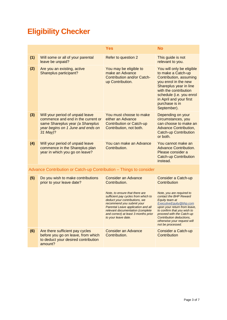## **Eligibility Checker**

|                                                                    |                                                                                                                                                             | <b>Yes</b>                                                                                                                                                                                                                                                                                                                  | <b>No</b>                                                                                                                                                                                                                                                                                                                  |  |
|--------------------------------------------------------------------|-------------------------------------------------------------------------------------------------------------------------------------------------------------|-----------------------------------------------------------------------------------------------------------------------------------------------------------------------------------------------------------------------------------------------------------------------------------------------------------------------------|----------------------------------------------------------------------------------------------------------------------------------------------------------------------------------------------------------------------------------------------------------------------------------------------------------------------------|--|
| (1)                                                                | Will some or all of your parental<br>leave be unpaid?                                                                                                       | Refer to question 2                                                                                                                                                                                                                                                                                                         | This guide is not<br>relevant to you.                                                                                                                                                                                                                                                                                      |  |
| (2)                                                                | Are you an existing, active<br>Shareplus participant?                                                                                                       | You may be eligible to<br>make an Advance<br>Contribution and/or Catch-<br>up Contribution.                                                                                                                                                                                                                                 | You will only be eligible<br>to make a Catch-up<br>Contribution, assuming<br>you enrol in the new<br>Shareplus year in line<br>with the contribution<br>schedule (i.e. you enrol<br>in April and your first<br>purchase is in<br>September).                                                                               |  |
| (3)                                                                | Will your period of unpaid leave<br>commence and end in the current or<br>same Shareplus year (a Shareplus<br>year begins on 1 June and ends on<br>31 May)? | You must choose to make<br>either an Advance<br><b>Contribution or Catch-up</b><br>Contribution, not both.                                                                                                                                                                                                                  | Depending on your<br>circumstances, you<br>can choose to make an<br><b>Advance Contribution,</b><br><b>Catch-up Contribution</b><br>or both.                                                                                                                                                                               |  |
| (4)                                                                | Will your period of unpaid leave<br>commence in the Shareplus plan<br>year in which you go on leave?                                                        | You can make an Advance<br>Contribution.                                                                                                                                                                                                                                                                                    | You cannot make an<br><b>Advance Contribution.</b><br>Please consider a<br><b>Catch-up Contribution</b><br>instead.                                                                                                                                                                                                        |  |
| Advance Contribution or Catch-up Contribution - Things to consider |                                                                                                                                                             |                                                                                                                                                                                                                                                                                                                             |                                                                                                                                                                                                                                                                                                                            |  |
| (5)                                                                | Do you wish to make contributions<br>prior to your leave date?                                                                                              | <b>Consider an Advance</b><br>Contribution.<br>Note, to ensure that there are<br>sufficient pay cycles from which to<br>deduct your contributions, we<br>recommend you submit your<br>Parental Leave application and all<br>relevant documentation (complete<br>and correct) at least 3 months prior<br>to your leave date. | Consider a Catch-up<br>Contribution<br>Note, you are required to<br>contact the BHP Reward<br>Equity team at<br><b>ExecutiveEquity@bhp.com</b><br>upon your return from leave,<br>to confirm that you wish to<br>proceed with the Catch-up<br>Contribution deductions,<br>otherwise your request will<br>not be processed. |  |
| (6)                                                                | Are there sufficient pay cycles<br>before you go on leave, from which<br>to deduct your desired contribution<br>amount?                                     | <b>Consider an Advance</b><br>Contribution.                                                                                                                                                                                                                                                                                 | Consider a Catch-up<br>Contribution                                                                                                                                                                                                                                                                                        |  |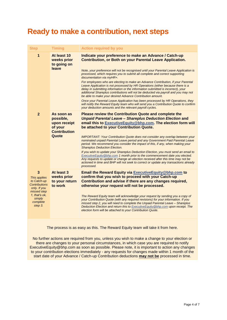### **Ready to make a contribution, next steps**

| Step                                                                                                                                      | <b>Timing</b>                                                                      | <b>Action required by you</b>                                                                                                                                                                                                                                                                                                                                                                                                                                                                                                                                                                                                                                                                                                                                                                                                                                                                                                                                                     |
|-------------------------------------------------------------------------------------------------------------------------------------------|------------------------------------------------------------------------------------|-----------------------------------------------------------------------------------------------------------------------------------------------------------------------------------------------------------------------------------------------------------------------------------------------------------------------------------------------------------------------------------------------------------------------------------------------------------------------------------------------------------------------------------------------------------------------------------------------------------------------------------------------------------------------------------------------------------------------------------------------------------------------------------------------------------------------------------------------------------------------------------------------------------------------------------------------------------------------------------|
| 1                                                                                                                                         | At least 10<br>weeks prior<br>to going on<br>leave                                 | Indicate your preference to make an Advance / Catch-up<br><b>Contribution, or Both on your Parental Leave Application.</b><br>Note, your preference will not be recognised until your Parental Leave Application is<br>processed, which requires you to submit all complete and correct supporting<br>documentation via myHR+.<br>For employees who are electing to make an Advance Contribution, if your Parental<br>Leave Application is not processed by HR Operations (either because there is a<br>delay in submitting information or the information submitted is incorrect), your<br>additional Shareplus contributions will not be deducted via payroll and you may not<br>be able to make your desired Advance Contribution amount.<br>Once your Parental Leave Application has been processed by HR Operations, they<br>will notify the Reward Equity team who will send you a Contribution Quote to confirm<br>your deduction amounts and the relevant payroll cycles. |
| $\overline{2}$                                                                                                                            | As soon as<br>possible,<br>upon receipt<br>of your<br><b>Contribution</b><br>Quote | <b>Please review the Contribution Quote and complete the</b><br><b>Unpaid Parental Leave - Shareplus Deduction Election and</b><br>email this to ExecutiveEquity@bhp.com. The election form will<br>be attached to your Contribution Quote.<br><b>IMPORTANT: Your Contribution Quote does not consider any overlap between your</b><br>nominated unpaid Parental Leave period and any Government Paid Parental Leave<br>period. We recommend you consider the impact of this, if any, when making your<br><b>Shareplus Deduction Election.</b><br>If you wish to update your Shareplus Deduction Election, you must send an email to<br>ExecutiveEquity@bhp.com 1 month prior to the commencement date you elected.<br>Any requests to update or change an election received after this time may not be<br>actioned in time and BHP will not seek to correct or update any transactions already<br>processed.                                                                     |
| 3<br>This applies<br>to Catch-up<br><b>Contributions</b><br>only. If you<br>missed step<br>1. that's ok.<br>simply<br>complete<br>step 3. | At least 3<br>weeks prior<br>to your return<br>to work                             | Email the Reward Equity via ExecutiveEquity@bhp.com to<br>confirm that you wish to proceed with your Catch-up<br>Contribution and advise if there are any changes required,<br>otherwise your request will not be processed.<br>The Reward Equity team will acknowledge your request by sending you a copy of<br>your Contribution Quote (with any required revisions) for your information. If you<br>missed step 2, you will need to complete the Unpaid Parental Leave - Shareplus<br>Deduction Election and return this to Executive Equity @bhp.com upon receipt. The<br>election form will be attached to your Contribution Quote.                                                                                                                                                                                                                                                                                                                                          |

The process is as easy as this. The Reward Equity team will take it from here.

No further actions are required from you, unless you wish to make a change to your election or there are changes to your personal circumstances, in which case you are required to notify [ExecutiveEquity@bhp.com](mailto:ExecutiveEquity@bhp.com) as soon as possible. Please note, it is important to action any changes to your contribution elections immediately - any requests for changes made within 1 month of the start date of your Advance / Catch-up Contribution deductions **may not be** processed in time.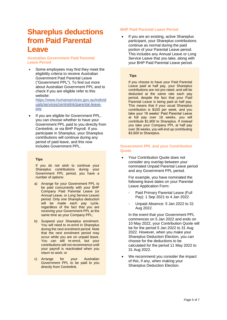## **Shareplus deductions from Paid Parental Leave**

#### **Australian Government Paid Parental Leave Period**

- Some employees may find they meet the eligibility criteria to receive Australian Government Paid Parental Leave ("Government PPL"). To find out more about Australian Government PPL and to check if you are eligible refer to this website: [https://www.humanservices.gov.au/individ](https://www.humanservices.gov.au/individuals/services/centrelink/parental-leave-pay) [uals/services/centrelink/parental-leave](https://www.humanservices.gov.au/individuals/services/centrelink/parental-leave-pay)[pay](https://www.humanservices.gov.au/individuals/services/centrelink/parental-leave-pay)
- If you are eligible for Government PPL, you can choose whether to have your Government PPL paid to you directly from Centrelink, or via BHP Payroll. If you participate in Shareplus, your Shareplus contributions will continue during any period of paid leave, and this now includes Government PPL.

#### **Tips**

If you do not wish to continue your Shareplus contributions during your Government PPL period, you have a number of options:

- a) Arrange for your Government PPL to be paid concurrently with your BHP Company Paid Parental Leave (or Annual Leave, or Long Service Leave) period. Only one Shareplus deduction will be made each pay cycle, regardless of the fact that you are receiving your Government PPL at the same time as your Company PPL;
- b) Suspend your Shareplus enrolment. You will need to re-enrol in Shareplus during the next enrolment period. Note that the next enrolment period may occur while you are on unpaid leave. You can still re-enrol, but your contributions will not recommence until your payroll is reactivated when you return to work; or
- c) Arrange for your Australian Government PPL to be paid to you directly from Centrelink.

#### **BHP Paid Parental Leave Period**

 If you are an existing, active Shareplus participant, your Shareplus contributions continue as normal during the paid portion of your Parental Leave period. This includes any Annual Leave or Long Service Leave that you take, along with your BHP Paid Parental Leave period.

#### **Tips**

If you choose to have your Paid Parental Leave paid at half pay, your Shareplus contributions are not pro-rated, and will be deducted at the same rate each pay period, despite the fact that your Paid Parental Leave is being paid at half pay. This means that if your usual Shareplus contribution is \$100 per week, and you take your 18 weeks' Paid Parental Leave at full pay over 18 weeks, you will contribute \$1,800 to Shareplus. If instead you take your Company PPL at half pay over 36 weeks, you will end up contributing \$3,600 to Shareplus.

#### **Government PPL and your Contribution Quote**

 Your Contribution Quote does not consider any overlap between your nominated Unpaid Parental Leave period and any Government PPL period.

For example, you have nominated the following leave dates on your Parental Leave Application Form:

- Paid Primary Parental Leave (Full Pay): 1 Sep 2021 to 4 Jan 2022
- Unpaid Absence: 5 Jan 2022 to 31 Aug 2022.

In the event that your Government PPL commences on 5 Jan 2022 and ends on 10 May 2022, your Contribution Quote will be for the period 5 Jan 2022 to 31 Aug 2022. However, when you make your Shareplus Deduction Election, you can choose for the deductions to be calculated for the period 11 May 2022 to 31 Aug 2022.

 We recommend you consider the impact of this, if any, when making your Shareplus Deduction Election.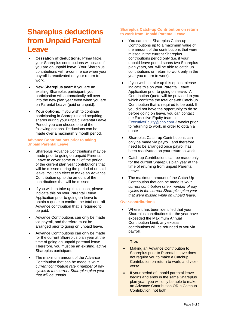## **Shareplus deductions from Unpaid Parental Leave**

- **Cessation of deductions:** Prima facie, your Shareplus contributions will cease if you are on unpaid leave. Your Shareplus contributions will re-commence when your payroll is reactivated on your return to work.
- **New Shareplus year:** If you are an existing Shareplus participant, your participation will automatically roll over into the new plan year even when you are on Parental Leave (paid or unpaid).
- **Your options:** If you wish to continue participating in Shareplus and acquiring shares during your unpaid Parental Leave Period, you can choose one of the following options. Deductions can be made over a maximum 3 month period.

#### **Advance Contributions prior to taking Unpaid Parental Leave**

- Shareplus Advance Contributions may be made prior to going on unpaid Parental Leave to cover some or all of the period of the current plan year contributions that will be missed during the period of unpaid leave. You can elect to make an Advance Contribution up to the amount of the contributions that will be missed.
- If you wish to take up this option, please indicate this on your Parental Leave Application prior to going on leave to obtain a quote to confirm the total one-off Advance contribution that is required to be paid.
- Advance Contributions can only be made via payroll, and therefore must be arranged prior to going on unpaid leave.
- Advance Contributions can only be made for the current Shareplus plan year at the time of going on unpaid parental leave. Therefore, you must be an existing, active Shareplus participant.
- The maximum amount of the Advance Contribution that can be made is *your current contribution rate x number of pay cycles in the current Shareplus plan year that will be unpaid*.

#### **Shareplus Catch-up Contribution on return to work from Unpaid Parental Leave**

- You can elect Shareplus Catch-up Contributions up to a maximum value of the amount of the contributions that were missed in the current Shareplus contributions period only (i.e. if your unpaid leave period spans two Shareplus plan years, you will be able to catch up contributions on return to work only in the year you return to work).
- If you wish to take up this option, please indicate this on your Parental Leave Application prior to going on leave. A Contribution Quote will be provided to you which confirms the total one-off Catch-up Contribution that is required to be paid. If you did not have the opportunity to do so before going on leave, you can contact the Executive Equity team at [ExecutiveEquity@bhp.com](mailto:ExecutiveEquity@bhp.com) 3 weeks prior to returning to work, in order to obtain a quote.
- Shareplus Catch-up Contributions can only be made via payroll, and therefore need to be arranged once payroll has been reactivated on your return to work.
- Catch-up Contributions can be made only for the current Shareplus plan year at the time of returning from unpaid Parental Leave.
- The maximum amount of the Catch-Up Contribution that can be made is *your current contribution rate x number of pay cycles in the current Shareplus plan year that were missed while on unpaid leave*.

#### **Over-contributions**

 Where it has been identified that your Shareplus contributions for the year have exceeded the Maximum Annual Contribution Limit, any excess contributions will be refunded to you via payroll.

#### **Tips**

- Making an Advance Contribution to Shareplus prior to Parental Leave does not require you to make a Catchup Contribution on return to work, and viceversa.
- If your period of unpaid parental leave begins and ends in the same Shareplus plan year, you will only be able to make an Advance Contribution OR a Catchup Contribution, not both.